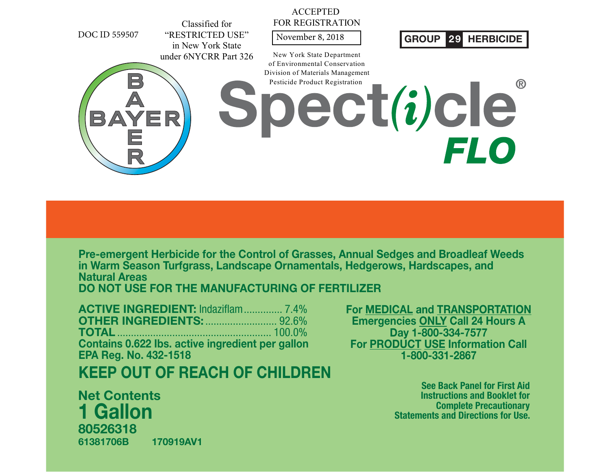

**Pre-emergent Herbicide for the Control of Grasses, Annual Sedges and Broadleaf Weeds in Warm Season Turfgrass, Landscape Ornamentals, Hedgerows, Hardscapes, and Natural AreasDO NOT USE FOR THE MANUFACTURING OF FERTILIZER**

**ACTIVE INGREDIENT:** Indaziflam.............. 7.4% **OTHER INGREDIENTS:**.......................... 92.6%**TOTAL** ........................................................ 100.0% **Contains 0.622 Ibs. active ingredient per gallon EPA Reg. No. 432-1518**

# **KEEP OUT OF REACH OF CHILDREN**

**Net Contents8052631861381706B 170919AV11 Gallon**

**For MEDICAL and TRANSPORTATION Emergencies ONLY Call 24 Hours A Day 1-800-334-7577 For PRODUCT USE Information Call 1-800-331-2867**

> **See Back Panel for First Aid Instructions and Booklet for Complete Precautionary Statements and Directions for Use.**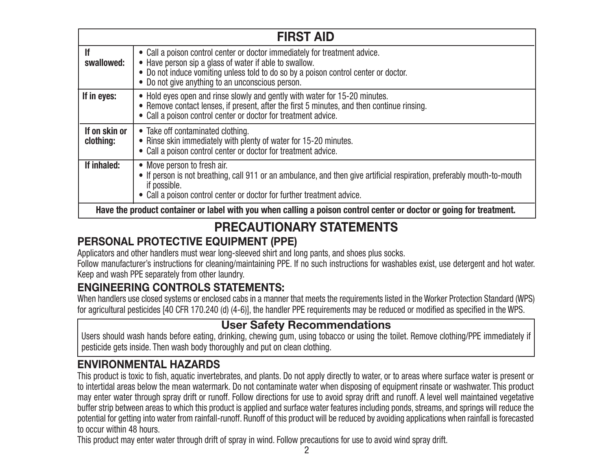|                                                                                                                     | <b>FIRST AID</b>                                                                                                                                                                                                                                                                |  |
|---------------------------------------------------------------------------------------------------------------------|---------------------------------------------------------------------------------------------------------------------------------------------------------------------------------------------------------------------------------------------------------------------------------|--|
| <b>If</b><br>swallowed:                                                                                             | • Call a poison control center or doctor immediately for treatment advice.<br>• Have person sip a glass of water if able to swallow.<br>• Do not induce vomiting unless told to do so by a poison control center or doctor.<br>• Do not give anything to an unconscious person. |  |
| If in eyes:                                                                                                         | • Hold eyes open and rinse slowly and gently with water for 15-20 minutes.<br>• Remove contact lenses, if present, after the first 5 minutes, and then continue rinsing.<br>• Call a poison control center or doctor for treatment advice.                                      |  |
| If on skin or<br>clothing:                                                                                          | • Take off contaminated clothing.<br>• Rinse skin immediately with plenty of water for 15-20 minutes.<br>• Call a poison control center or doctor for treatment advice.                                                                                                         |  |
| If inhaled:                                                                                                         | • Move person to fresh air.<br>• If person is not breathing, call 911 or an ambulance, and then give artificial respiration, preferably mouth-to-mouth<br>if possible.<br>• Call a poison control center or doctor for further treatment advice.                                |  |
| Have the product container or label with you when calling a poison control center or doctor or going for treatment. |                                                                                                                                                                                                                                                                                 |  |

# **PRECAUTIONARY STATEMENTS**

### **PERSONAL PROTECTIVE EQUIPMENT (PPE)**

Applicators and other handlers must wear long-sleeved shirt and long pants, and shoes plus socks.

Follow manufacturer's instructions for cleaning/maintaining PPE. If no such instructions for washables exist, use detergent and hot water. Keep and wash PPE separately from other laundry.

### **ENGINEERING CONTROLS STATEMENTS:**

When handlers use closed systems or enclosed cabs in a manner that meets the requirements listed in the Worker Protection Standard (WPS) for agricultural pesticides [40 CFR 170.240 (d) (4-6)], the handler PPE requirements may be reduced or modified as specified in the WPS.

### **User Safety Recommendations**

Users should wash hands before eating, drinking, chewing gum, using tobacco or using the toilet. Remove clothing/PPE immediately if pesticide gets inside. Then wash body thoroughly and put on clean clothing.

### **ENVIRONMENTAL HAZARDS**

This product is toxic to fish, aquatic invertebrates, and plants. Do not apply directly to water, or to areas where surface water is present or to intertidal areas below the mean watermark. Do not contaminate water when disposing of equipment rinsate or washwater. This product may enter water through spray drift or runoff. Follow directions for use to avoid spray drift and runoff. A level well maintained vegetative buffer strip between areas to which this product is applied and surface water features including ponds, streams, and springs will reduce the potential for getting into water from rainfall-runoff. Runoff of this product will be reduced by avoiding applications when rainfall is forecasted to occur within 48 hours.

This product may enter water through drift of spray in wind. Follow precautions for use to avoid wind spray drift.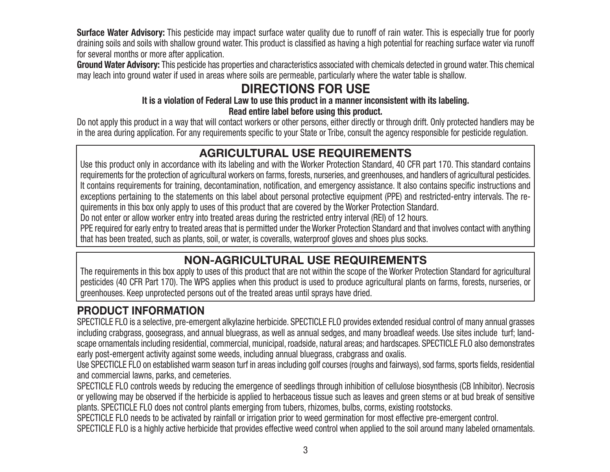**Surface Water Advisory:** This pesticide may impact surface water quality due to runoff of rain water. This is especially true for poorly draining soils and soils with shallow ground water. This product is classified as having a high potential for reaching surface water via runoff for several months or more after application.

**Ground Water Advisory:** This pesticide has properties and characteristics associated with chemicals detected in ground water. This chemical may leach into ground water if used in areas where soils are permeable, particularly where the water table is shallow.

# **DIRECTIONS FOR USE**

#### **It is a violation of Federal Law to use this product in a manner inconsistent with its labeling. Read entire label before using this product.**

Do not apply this product in a way that will contact workers or other persons, either directly or through drift. Only protected handlers may be in the area during application. For any requirements specific to your State or Tribe, consult the agency responsible for pesticide regulation.

### **AGRICULTURAL USE REQUIREMENTS**

Use this product only in accordance with its labeling and with the Worker Protection Standard, 40 CFR part 170. This standard contains requirements for the protection of agricultural workers on farms, forests, nurseries, and greenhouses, and handlers of agricultural pesticides. It contains requirements for training, decontamination, notification, and emergency assistance. It also contains specific instructions and exceptions pertaining to the statements on this label about personal protective equipment (PPE) and restricted-entry intervals. The requirements in this box only apply to uses of this product that are covered by the Worker Protection Standard.

Do not enter or allow worker entry into treated areas during the restricted entry interval (REI) of 12 hours.

PPE required for early entry to treated areas that is permitted under the Worker Protection Standard and that involves contact with anything that has been treated, such as plants, soil, or water, is coveralls, waterproof gloves and shoes plus socks.

### **NON-AGRICULTURAL USE REQUIREMENTS**

The requirements in this box apply to uses of this product that are not within the scope of the Worker Protection Standard for agricultural pesticides (40 CFR Part 170). The WPS applies when this product is used to produce agricultural plants on farms, forests, nurseries, or greenhouses. Keep unprotected persons out of the treated areas until sprays have dried.

### **PRODUCT INFORMATION**

SPECTICLE FLO is a selective, pre-emergent alkylazine herbicide. SPECTICLE FLO provides extended residual control of many annual grasses including crabgrass, goosegrass, and annual bluegrass, as well as annual sedges, and many broadleaf weeds. Use sites include turf; landscape ornamentals including residential, commercial, municipal, roadside, natural areas; and hardscapes. SPECTICLE FLO also demonstrates early post-emergent activity against some weeds, including annual bluegrass, crabgrass and oxalis.

Use SPECTICLE FLO on established warm season turf in areas including golf courses (roughs and fairways), sod farms, sports fields, residential and commercial lawns, parks, and cemeteries.

SPECTICLE FLO controls weeds by reducing the emergence of seedlings through inhibition of cellulose biosynthesis (CB Inhibitor). Necrosis or yellowing may be observed if the herbicide is applied to herbaceous tissue such as leaves and green stems or at bud break of sensitive plants. SPECTICLE FLO does not control plants emerging from tubers, rhizomes, bulbs, corms, existing rootstocks.

SPECTICLE FLO needs to be activated by rainfall or irrigation prior to weed germination for most effective pre-emergent control.

SPECTICLE FLO is a highly active herbicide that provides effective weed control when applied to the soil around many labeled ornamentals.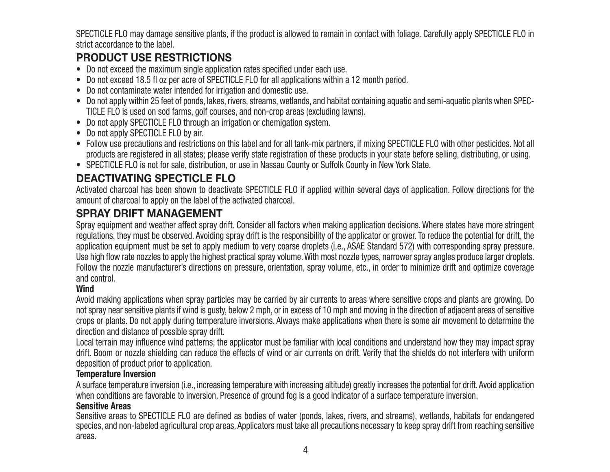SPECTICLE FLO may damage sensitive plants, if the product is allowed to remain in contact with foliage. Carefully apply SPECTICLE FLO in strict accordance to the label.

### **PRODUCT USE RESTRICTIONS**

- Do not exceed the maximum single application rates specified under each use.
- Do not exceed 18.5 fl oz per acre of SPECTICLE FLO for all applications within a 12 month period.
- Do not contaminate water intended for irrigation and domestic use.
- Do not apply within 25 feet of ponds, lakes, rivers, streams, wetlands, and habitat containing aquatic and semi-aquatic plants when SPEC-TICLE FLO is used on sod farms, golf courses, and non-crop areas (excluding lawns).
- Do not apply SPECTICLE FLO through an irrigation or chemigation system.
- Do not apply SPECTICLE FLO by air.
- Follow use precautions and restrictions on this label and for all tank-mix partners, if mixing SPECTICLE FLO with other pesticides. Not all products are registered in all states; please verify state registration of these products in your state before selling, distributing, or using.
- SPECTICLE FLO is not for sale, distribution, or use in Nassau County or Suffolk County in New York State.

### **DEACTIVATING SPECTICLE FLO**

Activated charcoal has been shown to deactivate SPECTICLE FLO if applied within several days of application. Follow directions for the amount of charcoal to apply on the label of the activated charcoal.

### **SPRAY DRIFT MANAGEMENT**

Spray equipment and weather affect spray drift. Consider all factors when making application decisions. Where states have more stringent regulations, they must be observed. Avoiding spray drift is the responsibility of the applicator or grower. To reduce the potential for drift, the application equipment must be set to apply medium to very coarse droplets (i.e., ASAE Standard 572) with corresponding spray pressure. Use high flow rate nozzles to apply the highest practical spray volume. With most nozzle types, narrower spray angles produce larger droplets. Follow the nozzle manufacturer's directions on pressure, orientation, spray volume, etc., in order to minimize drift and optimize coverage and control.

#### **Wind**

Avoid making applications when spray particles may be carried by air currents to areas where sensitive crops and plants are growing. Do not spray near sensitive plants if wind is gusty, below 2 mph, or in excess of 10 mph and moving in the direction of adjacent areas of sensitive crops or plants. Do not apply during temperature inversions. Always make applications when there is some air movement to determine the direction and distance of possible spray drift.

Local terrain may influence wind patterns; the applicator must be familiar with local conditions and understand how they may impact spray drift. Boom or nozzle shielding can reduce the effects of wind or air currents on drift. Verify that the shields do not interfere with uniform deposition of product prior to application.

#### **Temperature Inversion**

A surface temperature inversion (i.e., increasing temperature with increasing altitude) greatly increases the potential for drift. Avoid application when conditions are favorable to inversion. Presence of ground fog is a good indicator of a surface temperature inversion.

#### **Sensitive Areas**

Sensitive areas to SPECTICLE FLO are defined as bodies of water (ponds, lakes, rivers, and streams), wetlands, habitats for endangered species, and non-labeled agricultural crop areas. Applicators must take all precautions necessary to keep spray drift from reaching sensitive areas.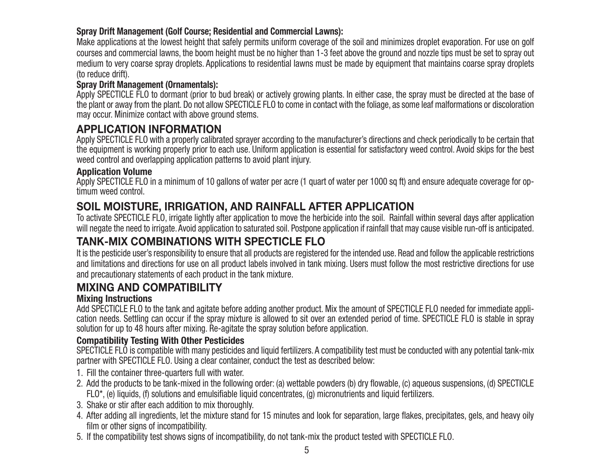#### **Spray Drift Management (Golf Course; Residential and Commercial Lawns):**

Make applications at the lowest height that safely permits uniform coverage of the soil and minimizes droplet evaporation. For use on golf courses and commercial lawns, the boom height must be no higher than 1-3 feet above the ground and nozzle tips must be set to spray out medium to very coarse spray droplets. Applications to residential lawns must be made by equipment that maintains coarse spray droplets (to reduce drift).

#### **Spray Drift Management (Ornamentals):**

Apply SPECTICLE FLO to dormant (prior to bud break) or actively growing plants. In either case, the spray must be directed at the base of the plant or away from the plant. Do not allow SPECTICLE FLO to come in contact with the foliage, as some leaf malformations or discoloration may occur. Minimize contact with above ground stems.

### **APPLICATION INFORMATION**

Apply SPECTICLE FLO with a properly calibrated sprayer according to the manufacturer's directions and check periodically to be certain that the equipment is working properly prior to each use. Uniform application is essential for satisfactory weed control. Avoid skips for the best weed control and overlapping application patterns to avoid plant injury.

#### **Application Volume**

Apply SPECTICLE FLO in a minimum of 10 gallons of water per acre (1 quart of water per 1000 sq ft) and ensure adequate coverage for optimum weed control.

### **SOIL MOISTURE, IRRIGATION, AND RAINFALL AFTER APPLICATION**

To activate SPECTICLE FLO, irrigate lightly after application to move the herbicide into the soil. Rainfall within several days after application will negate the need to irrigate. Avoid application to saturated soil. Postpone application if rainfall that may cause visible run-off is anticipated.

### **TANK-MIX COMBINATIONS WITH SPECTICLE FLO**

It is the pesticide user's responsibility to ensure that all products are registered for the intended use. Read and follow the applicable restrictions and limitations and directions for use on all product labels involved in tank mixing. Users must follow the most restrictive directions for use and precautionary statements of each product in the tank mixture.

### **MIXING AND COMPATIBILITY**

#### **Mixing Instructions**

Add SPECTICLE FLO to the tank and agitate before adding another product. Mix the amount of SPECTICLE FLO needed for immediate application needs. Settling can occur if the spray mixture is allowed to sit over an extended period of time. SPECTICLE FLO is stable in spray solution for up to 48 hours after mixing. Re-agitate the spray solution before application.

#### **Compatibility Testing With Other Pesticides**

SPECTICLE FLO is compatible with many pesticides and liquid fertilizers. A compatibility test must be conducted with any potential tank-mix partner with SPECTICLE FLO. Using a clear container, conduct the test as described below:

- 1. Fill the container three-quarters full with water.
- 2. Add the products to be tank-mixed in the following order: (a) wettable powders (b) dry flowable, (c) aqueous suspensions, (d) SPECTICLE FLO\*, (e) liquids, (f) solutions and emulsifiable liquid concentrates, (g) micronutrients and liquid fertilizers.
- 3. Shake or stir after each addition to mix thoroughly.
- 4. After adding all ingredients, let the mixture stand for 15 minutes and look for separation, large flakes, precipitates, gels, and heavy oily film or other signs of incompatibility.
- 5. If the compatibility test shows signs of incompatibility, do not tank-mix the product tested with SPECTICLE FLO.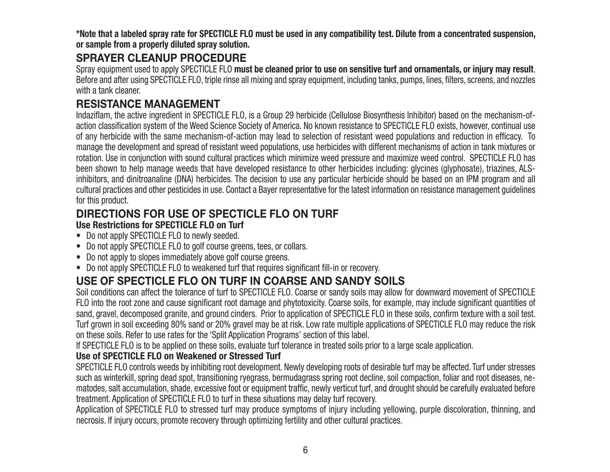**\*Note that a labeled spray rate for SPECTICLE FLO must be used in any compatibility test. Dilute from a concentrated suspension, or sample from a properly diluted spray solution.**

### **SPRAYER CLEANUP PROCEDURE**

Spray equipment used to apply SPECTICLE FLO **must be cleaned prior to use on sensitive turf and ornamentals, or injury may result**. Before and after using SPECTICLE FLO, triple rinse all mixing and spray equipment, including tanks, pumps, lines, filters, screens, and nozzles with a tank cleaner.

### **RESISTANCE MANAGEMENT**

Indaziflam, the active ingredient in SPECTICLE FLO, is a Group 29 herbicide (Cellulose Biosynthesis Inhibitor) based on the mechanism-ofaction classification system of the Weed Science Society of America. No known resistance to SPECTICLE FLO exists, however, continual use of any herbicide with the same mechanism-of-action may lead to selection of resistant weed populations and reduction in efficacy. To manage the development and spread of resistant weed populations, use herbicides with different mechanisms of action in tank mixtures or rotation. Use in conjunction with sound cultural practices which minimize weed pressure and maximize weed control. SPECTICLE FLO has been shown to help manage weeds that have developed resistance to other herbicides including: glycines (glyphosate), triazines, ALSinhibitors, and dinitroanaline (DNA) herbicides. The decision to use any particular herbicide should be based on an IPM program and all cultural practices and other pesticides in use. Contact a Bayer representative for the latest information on resistance management guidelines for this product.

#### **DIRECTIONS FOR USE OF SPECTICLE FLO ON TURFUse Restrictions for SPECTICLE FLO on Turf**

- Do not apply SPECTICLE FLO to newly seeded.
- Do not apply SPECTICLE FLO to golf course greens, tees, or collars.
- Do not apply to slopes immediately above golf course greens.
- Do not apply SPECTICLE FLO to weakened turf that requires significant fill-in or recovery.

# **USE OF SPECTICLE FLO ON TURF IN COARSE AND SANDY SOILS**

Soil conditions can affect the tolerance of turf to SPECTICLE FLO. Coarse or sandy soils may allow for downward movement of SPECTICLE FLO into the root zone and cause significant root damage and phytotoxicity. Coarse soils, for example, may include significant quantities of sand, gravel, decomposed granite, and ground cinders. Prior to application of SPECTICLE FLO in these soils, confirm texture with a soil test. Turf grown in soil exceeding 80% sand or 20% gravel may be at risk. Low rate multiple applications of SPECTICLE FLO may reduce the risk on these soils. Refer to use rates for the 'Split Application Programs' section of this label.

If SPECTICLE FLO is to be applied on these soils, evaluate turf tolerance in treated soils prior to a large scale application.

#### **Use of SPECTICLE FLO on Weakened or Stressed Turf**

SPECTICLE FLO controls weeds by inhibiting root development. Newly developing roots of desirable turf may be affected. Turf under stresses such as winterkill, spring dead spot, transitioning ryegrass, bermudagrass spring root decline, soil compaction, foliar and root diseases, nematodes, salt accumulation, shade, excessive foot or equipment traffic, newly verticut turf, and drought should be carefully evaluated before treatment. Application of SPECTICLE FLO to turf in these situations may delay turf recovery.

Application of SPECTICLE FLO to stressed turf may produce symptoms of injury including yellowing, purple discoloration, thinning, and necrosis. If injury occurs, promote recovery through optimizing fertility and other cultural practices.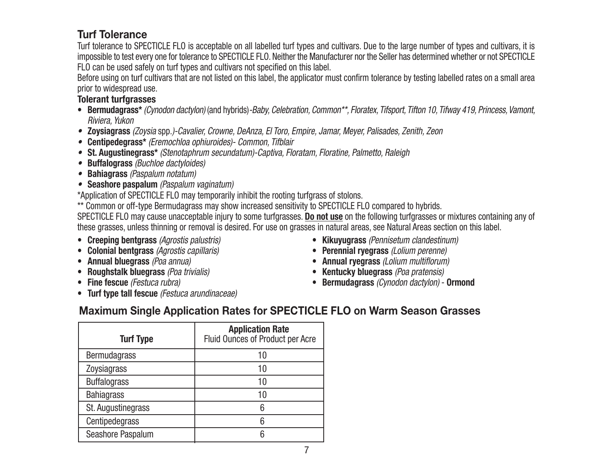### **Turf Tolerance**

Turf tolerance to SPECTICLE FLO is acceptable on all labelled turf types and cultivars. Due to the large number of types and cultivars, it is impossible to test every one for tolerance to SPECTICLE FLO. Neither the Manufacturer nor the Seller has determined whether or not SPECTICLE FLO can be used safely on turf types and cultivars not specified on this label.

Before using on turf cultivars that are not listed on this label, the applicator must confirm tolerance by testing labelled rates on a small area prior to widespread use.

#### **Tolerant turfgrasses**

- **Bermudagrass\*** (Cynodon dactylon) (and hybrids)-Baby, Celebration, Common\*\*, Floratex, Tifsport, Tifton 10, Tifway 419, Princess, Vamont, Riviera, Yukon
- **Zoysiagrass** (Zoysia spp.)-Cavalier, Crowne, DeAnza, El Toro, Empire, Jamar, Meyer, Palisades, Zenith, Zeon
- **Centipedegrass\*** (Eremochloa ophiuroides)- Common, Tifblair
- **St. Augustinegrass\*** (Stenotaphrum secundatum)-Captiva, Floratam, Floratine, Palmetto, Raleigh
- **Buffalograss** (Buchloe dactyloides)
- **Bahiagrass** (Paspalum notatum)
- **Seashore paspalum** (Paspalum vaginatum)

\*Application of SPECTICLE FLO may temporarily inhibit the rooting turfgrass of stolons.

\*\* Common or off-type Bermudagrass may show increased sensitivity to SPECTICLE FLO compared to hybrids. SPECTICLE FLO may cause unacceptable injury to some turfgrasses. **Do not use** on the following turfgrasses or mixtures containing any of these grasses, unless thinning or removal is desired. For use on grasses in natural areas, see Natural Areas section on this label.

- **Creeping bentgrass** (Agrostis palustris)
- **Colonial bentgrass** (Agrostis capillaris)
- **Annual bluegrass** (Poa annua)
- **Roughstalk bluegrass** (Poa trivialis)
- **Fine fescue** (Festuca rubra)
- **Turf type tall fescue** (Festuca arundinaceae)
- **Kikuyugrass** (Pennisetum clandestinum)
- **Perennial ryegrass** (Lolium perenne)
- **Annual ryegrass** (Lolium multiflorum)
- **Kentucky bluegrass** (Poa pratensis)
- **Bermudagrass** (Cynodon dactylon) **Ormond**

### **Maximum Single Application Rates for SPECTICLE FLO on Warm Season Grasses**

| <b>Turf Type</b>    | <b>Application Rate</b><br>Fluid Ounces of Product per Acre |
|---------------------|-------------------------------------------------------------|
| <b>Bermudagrass</b> | 10                                                          |
| Zoysiagrass         | 10                                                          |
| <b>Buffalograss</b> | 10                                                          |
| <b>Bahiagrass</b>   | 10                                                          |
| St. Augustinegrass  | 6                                                           |
| Centipedegrass      | 6                                                           |
| Seashore Paspalum   | Ⴌ                                                           |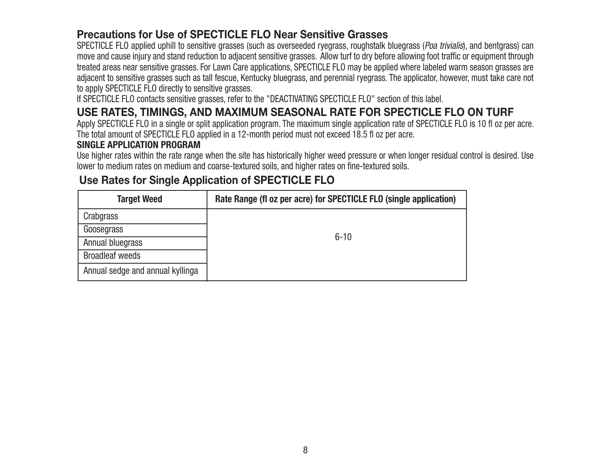### **Precautions for Use of SPECTICLE FLO Near Sensitive Grasses**

SPECTICLE FLO applied uphill to sensitive grasses (such as overseeded ryegrass, roughstalk bluegrass (Poa trivialis), and bentgrass) can move and cause injury and stand reduction to adjacent sensitive grasses. Allow turf to dry before allowing foot traffic or equipment through treated areas near sensitive grasses. For Lawn Care applications, SPECTICLE FLO may be applied where labeled warm season grasses are adjacent to sensitive grasses such as tall fescue, Kentucky bluegrass, and perennial ryegrass. The applicator, however, must take care not to apply SPECTICLE FLO directly to sensitive grasses.

If SPECTICLE FLO contacts sensitive grasses, refer to the "DEACTIVATING SPECTICLE FLO" section of this label.

### **USE RATES, TIMINGS, AND MAXIMUM SEASONAL RATE FOR SPECTICLE FLO ON TURF**

Apply SPECTICLE FLO in a single or split application program. The maximum single application rate of SPECTICLE FLO is 10 fl oz per acre. The total amount of SPECTICLE FLO applied in a 12-month period must not exceed 18.5 fl oz per acre.

#### **SINGLE APPLICATION PROGRAM**

Use higher rates within the rate range when the site has historically higher weed pressure or when longer residual control is desired. Use lower to medium rates on medium and coarse-textured soils, and higher rates on fine-textured soils.

### **Use Rates for Single Application of SPECTICLE FLO**

| <b>Target Weed</b>               | Rate Range (fl oz per acre) for SPECTICLE FLO (single application) |
|----------------------------------|--------------------------------------------------------------------|
| Crabgrass                        |                                                                    |
| Goosegrass                       | $6 - 10$                                                           |
| Annual bluegrass                 |                                                                    |
| <b>Broadleaf weeds</b>           |                                                                    |
| Annual sedge and annual kyllinga |                                                                    |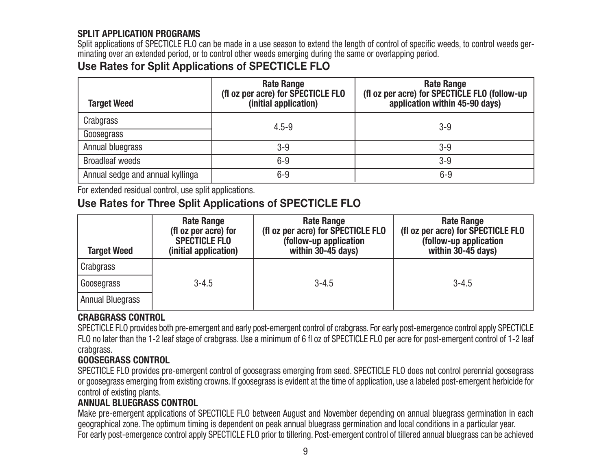#### **SPLIT APPLICATION PROGRAMS**

Split applications of SPECTICLE FLO can be made in a use season to extend the length of control of specific weeds, to control weeds germinating over an extended period, or to control other weeds emerging during the same or overlapping period.

### **Use Rates for Split Applications of SPECTICLE FLO**

| <b>Target Weed</b>               | <b>Rate Range</b><br>(fl oz per acre) for SPECTICLE FLO<br>(initial application) | <b>Rate Range</b><br>(fl oz per acre) for SPECTICLE FLO (follow-up<br>application within 45-90 days) |
|----------------------------------|----------------------------------------------------------------------------------|------------------------------------------------------------------------------------------------------|
| Crabgrass<br>Goosegrass          | $4.5 - 9$                                                                        | $3 - 9$                                                                                              |
| Annual bluegrass                 | $3 - 9$                                                                          | $3-9$                                                                                                |
| <b>Broadleaf weeds</b>           | $6-9$                                                                            | $3 - 9$                                                                                              |
| Annual sedge and annual kyllinga | $6-9$                                                                            | $6-9$                                                                                                |

For extended residual control, use split applications.

### **Use Rates for Three Split Applications of SPECTICLE FLO**

| <b>Target Weed</b>      | <b>Rate Range</b><br>(fl oz per acre) for<br><b>SPECTICLE FLO</b><br>(initial application) | <b>Rate Range</b><br>(fl oz per acre) for SPECTICLE FLO<br>(follow-up application<br>within 30-45 days) | <b>Rate Range</b><br>(fl oz per acre) for SPECTICLE FLO<br>(follow-up application<br>within 30-45 days) |
|-------------------------|--------------------------------------------------------------------------------------------|---------------------------------------------------------------------------------------------------------|---------------------------------------------------------------------------------------------------------|
| Crabgrass               |                                                                                            |                                                                                                         |                                                                                                         |
| Goosegrass              | $3 - 4.5$                                                                                  | $3 - 4.5$                                                                                               | $3 - 4.5$                                                                                               |
| <b>Annual Bluegrass</b> |                                                                                            |                                                                                                         |                                                                                                         |

#### **CRABGRASS CONTROL**

SPECTICLE FLO provides both pre-emergent and early post-emergent control of crabgrass. For early post-emergence control apply SPECTICLE FLO no later than the 1-2 leaf stage of crabgrass. Use a minimum of 6 fl oz of SPECTICLE FLO per acre for post-emergent control of 1-2 leaf crabgrass.

#### **GOOSEGRASS CONTROL**

SPECTICLE FLO provides pre-emergent control of goosegrass emerging from seed. SPECTICLE FLO does not control perennial goosegrass or goosegrass emerging from existing crowns. If goosegrass is evident at the time of application, use a labeled post-emergent herbicide for control of existing plants.

#### **ANNUAL BLUEGRASS CONTROL**

Make pre-emergent applications of SPECTICLE FLO between August and November depending on annual bluegrass germination in each geographical zone. The optimum timing is dependent on peak annual bluegrass germination and local conditions in a particular year. For early post-emergence control apply SPECTICLE FLO prior to tillering. Post-emergent control of tillered annual bluegrass can be achieved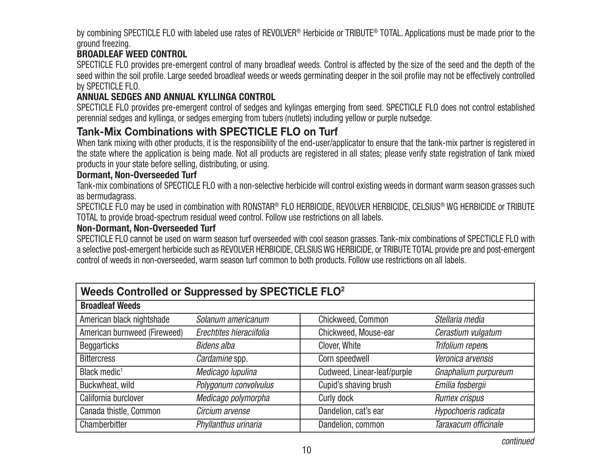by combining SPECTICLE FLO with labeled use rates of REVOLVER® Herbicide or TRIBUTE® TOTAL. Applications must be made prior to the ground freezing.

#### **BROADLEAF WEED CONTROL**

SPECTICLE FLO provides pre-emergent control of many broadleaf weeds. Control is affected by the size of the seed and the depth of the seed within the soil profile. Large seeded broadleaf weeds or weeds germinating deeper in the soil profile may not be effectively controlled by SPECTICLE FLO.

#### **ANNUAL SEDGES AND ANNUAL KYLLINGA CONTROL**

SPECTICLE FLO provides pre-emergent control of sedges and kylingas emerging from seed. SPECTICLE FLO does not control established perennial sedges and kyllinga, or sedges emerging from tubers (nutlets) including yellow or purple nutsedge.

### **Tank-Mix Combinations with SPECTICLE FLO on Turf**

When tank mixing with other products, it is the responsibility of the end-user/applicator to ensure that the tank-mix partner is registered in the state where the application is being made. Not all products are registered in all states; please verify state registration of tank mixed products in your state before selling, distributing, or using.

#### **Dormant, Non-Overseeded Turf**

Tank-mix combinations of SPECTICLE FLO with a non-selective herbicide will control existing weeds in dormant warm season grasses such as bermudagrass.

SPECTICLE FLO may be used in combination with RONSTAR® FLO HERBICIDE, REVOLVER HERBICIDE, CELSIUS® WG HERBICIDE or TRIBUTE TOTAL to provide broad-spectrum residual weed control. Follow use restrictions on all labels.

#### **Non-Dormant, Non-Overseeded Turf**

SPECTICLE FLO cannot be used on warm season turf overseeded with cool season grasses. Tank-mix combinations of SPECTICLE FLO with a selective post-emergent herbicide such as REVOLVER HERBICIDE, CELSIUS WG HERBICIDE, or TRIBUTE TOTAL provide pre and post-emergent control of weeds in non-overseeded, warm season turf common to both products. Follow use restrictions on all labels.

| Weeds Controlled or Suppressed by SPECTICLE FLO <sup>2</sup> |                          |                             |                      |  |
|--------------------------------------------------------------|--------------------------|-----------------------------|----------------------|--|
| <b>Broadleaf Weeds</b>                                       |                          |                             |                      |  |
| American black nightshade                                    | Solanum americanum       | Chickweed, Common           | Stellaria media      |  |
| American burnweed (Fireweed)                                 | Erechtites hieraciifolia | Chickweed, Mouse-ear        | Cerastium vulgatum   |  |
| <b>Beggarticks</b>                                           | <b>Bidens alba</b>       | Clover, White               | Trifolium repens     |  |
| <b>Bittercress</b>                                           | Cardamine spp.           | Corn speedwell              | Veronica arvensis    |  |
| Black medic <sup>1</sup>                                     | Medicago lupulina        | Cudweed, Linear-leaf/purple | Gnaphalium purpureum |  |
| Buckwheat, wild                                              | Polygonum convolvulus    | Cupid's shaving brush       | Emilia fosbergii     |  |
| California burclover                                         | Medicago polymorpha      | Curly dock                  | Rumex crispus        |  |
| Canada thistle, Common                                       | Circium arvense          | Dandelion, cat's ear        | Hypochoeris radicata |  |
| Chamberbitter                                                | Phyllanthus urinaria     | Dandelion, common           | Taraxacum officinale |  |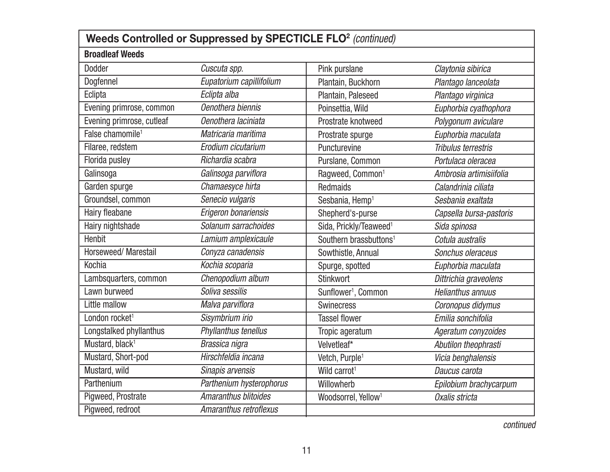| Weeds Controlled or Suppressed by SPECTICLE FLO <sup>2</sup> (continued) |                             |                                    |                          |
|--------------------------------------------------------------------------|-----------------------------|------------------------------------|--------------------------|
| <b>Broadleaf Weeds</b>                                                   |                             |                                    |                          |
| Dodder                                                                   | Cuscuta spp.                | Pink purslane                      | Claytonia sibirica       |
| Dogfennel                                                                | Eupatorium capillifolium    | Plantain, Buckhorn                 | Plantago lanceolata      |
| Eclipta                                                                  | Eclipta alba                | Plantain, Paleseed                 | Plantago virginica       |
| Evening primrose, common                                                 | Oenothera biennis           | Poinsettia, Wild                   | Euphorbia cyathophora    |
| Evening primrose, cutleaf                                                | Oenothera laciniata         | Prostrate knotweed                 | Polygonum aviculare      |
| False chamomile <sup>1</sup>                                             | Matricaria maritima         | Prostrate spurge                   | Euphorbia maculata       |
| Filaree, redstem                                                         | Erodium cicutarium          | Puncturevine                       | Tribulus terrestris      |
| Florida pusley                                                           | Richardia scabra            | Purslane, Common                   | Portulaca oleracea       |
| Galinsoga                                                                | Galinsoga parviflora        | Ragweed, Common <sup>1</sup>       | Ambrosia artimisiifolia  |
| Garden spurge                                                            | Chamaesyce hirta            | <b>Redmaids</b>                    | Calandrinia ciliata      |
| Groundsel, common                                                        | Senecio vulgaris            | Sesbania, Hemp <sup>1</sup>        | Sesbania exaltata        |
| Hairy fleabane                                                           | Erigeron bonariensis        | Shepherd's-purse                   | Capsella bursa-pastoris  |
| Hairy nightshade                                                         | Solanum sarrachoides        | Sida, Prickly/Teaweed <sup>1</sup> | Sida spinosa             |
| <b>Henbit</b>                                                            | Lamium amplexicaule         | Southern brassbuttons <sup>1</sup> | Cotula australis         |
| Horseweed/ Marestail                                                     | Conyza canadensis           | Sowthistle, Annual                 | Sonchus oleraceus        |
| <b>Kochia</b>                                                            | Kochia scoparia             | Spurge, spotted                    | Euphorbia maculata       |
| Lambsquarters, common                                                    | Chenopodium album           | <b>Stinkwort</b>                   | Dittrichia graveolens    |
| Lawn burweed                                                             | Soliva sessilis             | Sunflower <sup>1</sup> , Common    | <b>Helianthus annuus</b> |
| Little mallow                                                            | Malva parviflora            | Swinecress                         | Coronopus didymus        |
| London rocket <sup>1</sup>                                               | Sisymbrium irio             | <b>Tassel flower</b>               | Emilia sonchifolia       |
| Longstalked phyllanthus                                                  | Phyllanthus tenellus        | Tropic ageratum                    | Ageratum conyzoides      |
| Mustard, black <sup>1</sup>                                              | Brassica nigra              | Velvetleaf*                        | Abutilon theophrasti     |
| Mustard, Short-pod                                                       | Hirschfeldia incana         | Vetch, Purple <sup>1</sup>         | Vicia benghalensis       |
| Mustard, wild                                                            | Sinapis arvensis            | Wild carrot <sup>1</sup>           | Daucus carota            |
| Parthenium                                                               | Parthenium hysterophorus    | Willowherb                         | Epilobium brachycarpum   |
| Pigweed, Prostrate                                                       | <b>Amaranthus blitoides</b> | Woodsorrel, Yellow <sup>1</sup>    | Oxalis stricta           |
| Pigweed, redroot                                                         | Amaranthus retroflexus      |                                    |                          |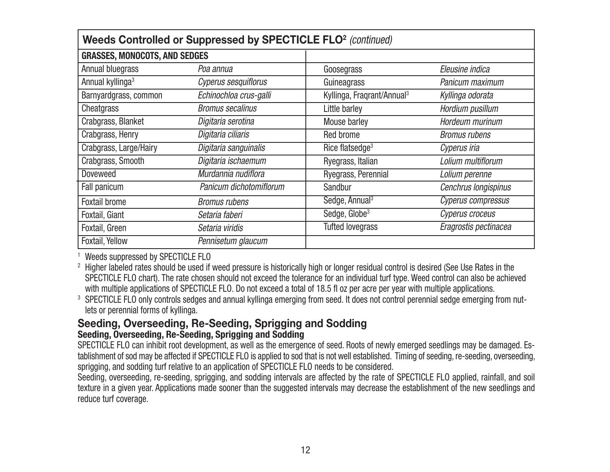| Weeds Controlled or Suppressed by SPECTICLE FLO <sup>2</sup> (continued) |                         |                                        |                       |
|--------------------------------------------------------------------------|-------------------------|----------------------------------------|-----------------------|
| <b>GRASSES, MONOCOTS, AND SEDGES</b>                                     |                         |                                        |                       |
| Annual bluegrass                                                         | Poa annua               | Goosegrass                             | Eleusine indica       |
| Annual kyllinga <sup>3</sup>                                             | Cyperus sesquiflorus    | Guineagrass                            | Panicum maximum       |
| Barnyardgrass, common                                                    | Echinochloa crus-galli  | Kyllinga, Fraqrant/Annual <sup>3</sup> | Kyllinga odorata      |
| Cheatgrass                                                               | <b>Bromus secalinus</b> | Little barley                          | Hordium pusillum      |
| Crabgrass, Blanket                                                       | Digitaria serotina      | Mouse barley                           | Hordeum murinum       |
| Crabgrass, Henry                                                         | Digitaria ciliaris      | Red brome                              | <b>Bromus rubens</b>  |
| Crabgrass, Large/Hairy                                                   | Digitaria sanguinalis   | Rice flatsedge <sup>3</sup>            | Cyperus iria          |
| Crabgrass, Smooth                                                        | Digitaria ischaemum     | Ryegrass, Italian                      | Lolium multiflorum    |
| <b>Doveweed</b>                                                          | Murdannia nudiflora     | Ryegrass, Perennial                    | Lolium perenne        |
| Fall panicum                                                             | Panicum dichotomiflorum | Sandbur                                | Cenchrus longispinus  |
| <b>Foxtail brome</b>                                                     | <b>Bromus rubens</b>    | Sedge, Annual <sup>3</sup>             | Cyperus compressus    |
| Foxtail, Giant                                                           | Setaria faberi          | Sedge, Globe <sup>3</sup>              | Cyperus croceus       |
| Foxtail, Green                                                           | Setaria viridis         | <b>Tufted lovegrass</b>                | Eragrostis pectinacea |
| Foxtail, Yellow                                                          | Pennisetum glaucum      |                                        |                       |

1 Weeds suppressed by SPECTICLE FLO

 $^\mathrm{2}$  Higher labeled rates should be used if weed pressure is historically high or longer residual control is desired (See Use Rates in the SPECTICLE FLO chart). The rate chosen should not exceed the tolerance for an individual turf type. Weed control can also be achieved with multiple applications of SPECTICLE FLO. Do not exceed a total of 18.5 fl oz per acre per year with multiple applications.

 $^3$  SPECTICLE FLO only controls sedges and annual kyllinga emerging from seed. It does not control perennial sedge emerging from nutlets or perennial forms of kyllinga.

#### **Seeding, Overseeding, Re-Seeding, Sprigging and Sodding Seeding, Overseeding, Re-Seeding, Sprigging and Sodding**

SPECTICLE FLO can inhibit root development, as well as the emergence of seed. Roots of newly emerged seedlings may be damaged. Establishment of sod may be affected if SPECTICLE FLO is applied to sod that is not well established. Timing of seeding, re-seeding, overseeding, sprigging, and sodding turf relative to an application of SPECTICLE FLO needs to be considered.

Seeding, overseeding, re-seeding, sprigging, and sodding intervals are affected by the rate of SPECTICLE FLO applied, rainfall, and soil texture in a given year. Applications made sooner than the suggested intervals may decrease the establishment of the new seedlings and reduce turf coverage.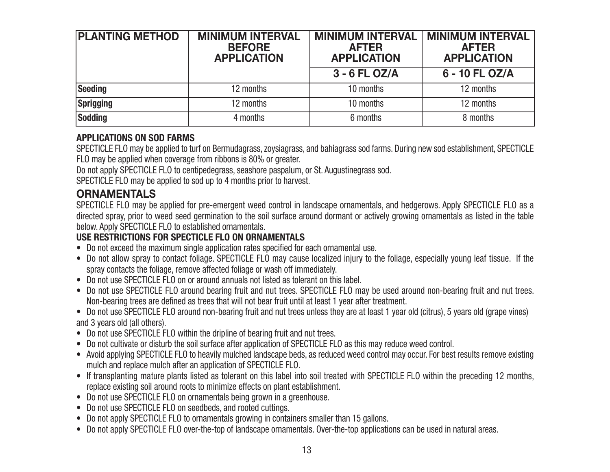| <b>PLANTING METHOD</b> | <b>MINIMUM INTERVAL</b><br><b>BEFORE</b><br><b>APPLICATION</b> | <b>MINIMUM INTERVAL</b><br><b>AFTER</b><br><b>APPLICATION</b> | <b>MINIMUM INTERVAL</b><br><b>AFTER</b><br><b>APPLICATION</b> |
|------------------------|----------------------------------------------------------------|---------------------------------------------------------------|---------------------------------------------------------------|
|                        |                                                                | $3 - 6$ FL OZ/A                                               | 6 - 10 FL OZ/A                                                |
| Seeding                | 12 months                                                      | 10 months                                                     | 12 months                                                     |
| Sprigging              | 12 months                                                      | 10 months                                                     | 12 months                                                     |
| Sodding                | 4 months                                                       | 6 months                                                      | 8 months                                                      |

#### **APPLICATIONS ON SOD FARMS**

SPECTICLE FLO may be applied to turf on Bermudagrass, zoysiagrass, and bahiagrass sod farms. During new sod establishment, SPECTICLE FLO may be applied when coverage from ribbons is 80% or greater.

Do not apply SPECTICLE FLO to centipedegrass, seashore paspalum, or St. Augustinegrass sod.

SPECTICLE FLO may be applied to sod up to 4 months prior to harvest.

### **ORNAMENTALS**

SPECTICLE FLO may be applied for pre-emergent weed control in landscape ornamentals, and hedgerows. Apply SPECTICLE FLO as a directed spray, prior to weed seed germination to the soil surface around dormant or actively growing ornamentals as listed in the table below. Apply SPECTICLE FLO to established ornamentals.

#### **USE RESTRICTIONS FOR SPECTICLE FLO ON ORNAMENTALS**

- Do not exceed the maximum single application rates specified for each ornamental use.
- Do not allow spray to contact foliage. SPECTICLE FLO may cause localized injury to the foliage, especially young leaf tissue. If the spray contacts the foliage, remove affected foliage or wash off immediately.
- Do not use SPECTICLE FLO on or around annuals not listed as tolerant on this label.
- Do not use SPECTICLE FLO around bearing fruit and nut trees. SPECTICLE FLO may be used around non-bearing fruit and nut trees. Non-bearing trees are defined as trees that will not bear fruit until at least 1 year after treatment.
- Do not use SPECTICLE FLO around non-bearing fruit and nut trees unless they are at least 1 year old (citrus), 5 years old (grape vines) and 3 years old (all others).
- Do not use SPECTICLE FLO within the dripline of bearing fruit and nut trees.
- Do not cultivate or disturb the soil surface after application of SPECTICLE FLO as this may reduce weed control.
- Avoid applying SPECTICLE FLO to heavily mulched landscape beds, as reduced weed control may occur. For best results remove existing mulch and replace mulch after an application of SPECTICLE FLO.
- If transplanting mature plants listed as tolerant on this label into soil treated with SPECTICLE FLO within the preceding 12 months, replace existing soil around roots to minimize effects on plant establishment.
- Do not use SPECTICLE FLO on ornamentals being grown in a greenhouse.
- Do not use SPECTICLE FLO on seedbeds, and rooted cuttings.
- Do not apply SPECTICLE FLO to ornamentals growing in containers smaller than 15 gallons.
- Do not apply SPECTICLE FLO over-the-top of landscape ornamentals. Over-the-top applications can be used in natural areas.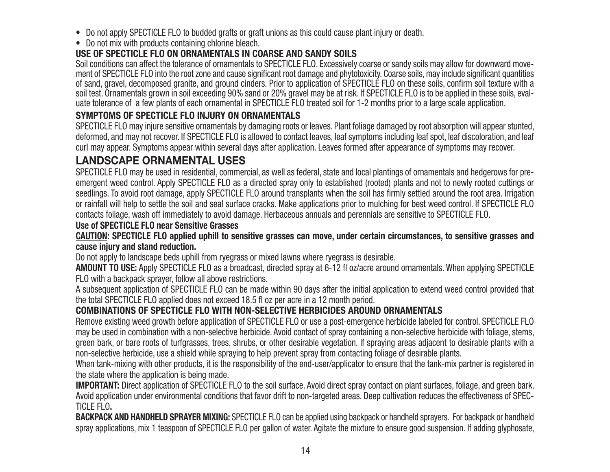- Do not apply SPECTICLE FLO to budded grafts or graft unions as this could cause plant injury or death.
- Do not mix with products containing chlorine bleach.

#### **USE OF SPECTICLE FLO ON ORNAMENTALS IN COARSE AND SANDY SOILS**

 Soil conditions can affect the tolerance of ornamentals to SPECTICLE FLO. Excessively coarse or sandy soils may allow for downward movement of SPECTICLE FLO into the root zone and cause significant root damage and phytotoxicity. Coarse soils, may include significant quantities of sand, gravel, decomposed granite, and ground cinders. Prior to application of SPECTICLE FLO on these soils, confirm soil texture with a soil test. Ornamentals grown in soil exceeding 90% sand or 20% gravel may be at risk. If SPECTICLE FLO is to be applied in these soils, evaluate tolerance of a few plants of each ornamental in SPECTICLE FLO treated soil for 1-2 months prior to a large scale application.

### **SYMPTOMS OF SPECTICLE FLO INJURY ON ORNAMENTALS**

SPECTICLE FLO may injure sensitive ornamentals by damaging roots or leaves. Plant foliage damaged by root absorption will appear stunted, deformed, and may not recover. If SPECTICLE FLO is allowed to contact leaves, leaf symptoms including leaf spot, leaf discoloration, and leaf curl may appear. Symptoms appear within several days after application. Leaves formed after appearance of symptoms may recover.

### **LANDSCAPE ORNAMENTAL USES**

SPECTICLE FLO may be used in residential, commercial, as well as federal, state and local plantings of ornamentals and hedgerows for preemergent weed control. Apply SPECTICLE FLO as a directed spray only to established (rooted) plants and not to newly rooted cuttings or seedlings. To avoid root damage, apply SPECTICLE FLO around transplants when the soil has firmly settled around the root area. Irrigation or rainfall will help to settle the soil and seal surface cracks. Make applications prior to mulching for best weed control. If SPECTICLE FLO contacts foliage, wash off immediately to avoid damage. Herbaceous annuals and perennials are sensitive to SPECTICLE FLO.

#### **Use of SPECTICLE FLO near Sensitive Grasses**

**CAUTION: SPECTICLE FLO applied uphill to sensitive grasses can move, under certain circumstances, to sensitive grasses and cause injury and stand reduction.**

Do not apply to landscape beds uphill from ryegrass or mixed lawns where ryegrass is desirable.

**AMOUNT TO USE:** Apply SPECTICLE FLO as a broadcast, directed spray at 6-12 fl oz/acre around ornamentals. When applying SPECTICLE FLO with a backpack sprayer, follow all above restrictions.

A subsequent application of SPECTICLE FLO can be made within 90 days after the initial application to extend weed control provided that the total SPECTICLE FLO applied does not exceed 18.5 fl oz per acre in a 12 month period.

#### **COMBINATIONS OF SPECTICLE FLO WITH NON-SELECTIVE HERBICIDES AROUND ORNAMENTALS**

Remove existing weed growth before application of SPECTICLE FLO or use a post-emergence herbicide labeled for control. SPECTICLE FLO may be used in combination with a non-selective herbicide. Avoid contact of spray containing a non-selective herbicide with foliage, stems, green bark, or bare roots of turfgrasses, trees, shrubs, or other desirable vegetation. If spraying areas adjacent to desirable plants with a non-selective herbicide, use a shield while spraying to help prevent spray from contacting foliage of desirable plants.

When tank-mixing with other products, it is the responsibility of the end-user/applicator to ensure that the tank-mix partner is registered in the state where the application is being made.

**IMPORTANT:** Direct application of SPECTICLE FLO to the soil surface. Avoid direct spray contact on plant surfaces, foliage, and green bark. Avoid application under environmental conditions that favor drift to non-targeted areas. Deep cultivation reduces the effectiveness of SPEC-TICLE FLO**.**

**BACKPACK AND HANDHELD SPRAYER MIXING:** SPECTICLE FLO can be applied using backpack or handheld sprayers. For backpack or handheld spray applications, mix 1 teaspoon of SPECTICLE FLO per gallon of water. Agitate the mixture to ensure good suspension. If adding glyphosate,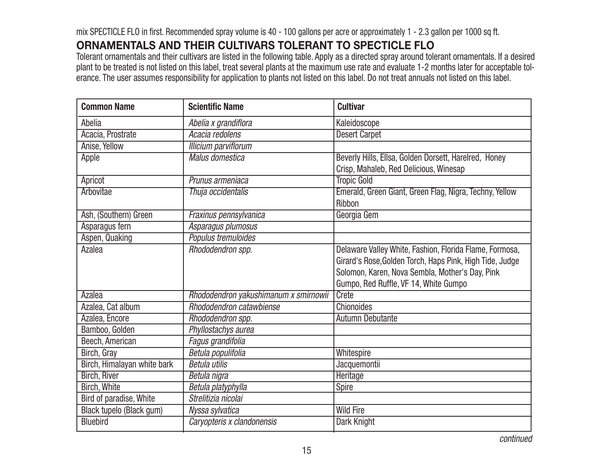mix SPECTICLE FLO in first. Recommended spray volume is 40 - 100 gallons per acre or approximately 1 - 2.3 gallon per 1000 sq ft.

### **ORNAMENTALS AND THEIR CULTIVARS TOLERANT TO SPECTICLE FLO**

Tolerant ornamentals and their cultivars are listed in the following table. Apply as a directed spray around tolerant ornamentals. If a desired plant to be treated is not listed on this label, treat several plants at the maximum use rate and evaluate 1-2 months later for acceptable tolerance. The user assumes responsibility for application to plants not listed on this label. Do not treat annuals not listed on this label.

| <b>Common Name</b>          | <b>Scientific Name</b>                | <b>Cultivar</b>                                                                                                                                                                                                 |
|-----------------------------|---------------------------------------|-----------------------------------------------------------------------------------------------------------------------------------------------------------------------------------------------------------------|
| Abelia                      | Abelia x grandiflora                  | Kaleidoscope                                                                                                                                                                                                    |
| Acacia, Prostrate           | Acacia redolens                       | <b>Desert Carpet</b>                                                                                                                                                                                            |
| Anise, Yellow               | <b>Illicium parviflorum</b>           |                                                                                                                                                                                                                 |
| Apple                       | <b>Malus domestica</b>                | Beverly Hills, Ellsa, Golden Dorsett, Harelred, Honey<br>Crisp, Mahaleb, Red Delicious, Winesap                                                                                                                 |
| Apricot                     | Prunus armeniaca                      | <b>Tropic Gold</b>                                                                                                                                                                                              |
| Arbovitae                   | Thuja occidentalis                    | Emerald, Green Giant, Green Flag, Nigra, Techny, Yellow<br>Ribbon                                                                                                                                               |
| Ash, (Southern) Green       | Fraxinus pennsylvanica                | Georgia Gem                                                                                                                                                                                                     |
| Asparagus fern              | Asparagus plumosus                    |                                                                                                                                                                                                                 |
| Aspen, Quaking              | Populus tremuloides                   |                                                                                                                                                                                                                 |
| Azalea                      | Rhododendron spp.                     | Delaware Valley White, Fashion, Florida Flame, Formosa,<br>Girard's Rose, Golden Torch, Haps Pink, High Tide, Judge<br>Solomon, Karen, Nova Sembla, Mother's Day, Pink<br>Gumpo, Red Ruffle, VF 14, White Gumpo |
| Azalea                      | Rhododendron yakushimanum x smirnowii | Crete                                                                                                                                                                                                           |
| Azalea, Cat album           | Rhododendron catawbiense              | <b>Chionoides</b>                                                                                                                                                                                               |
| Azalea, Encore              | Rhododendron spp.                     | <b>Autumn Debutante</b>                                                                                                                                                                                         |
| Bamboo, Golden              | Phyllostachys aurea                   |                                                                                                                                                                                                                 |
| Beech, American             | Fagus grandifolia                     |                                                                                                                                                                                                                 |
| Birch, Gray                 | Betula populifolia                    | Whitespire                                                                                                                                                                                                      |
| Birch, Himalayan white bark | <b>Betula utilis</b>                  | Jacquemontii                                                                                                                                                                                                    |
| <b>Birch, River</b>         | Betula nigra                          | Heritage                                                                                                                                                                                                        |
| <b>Birch, White</b>         | Betula platyphylla                    | Spire                                                                                                                                                                                                           |
| Bird of paradise, White     | Strelitizia nicolai                   |                                                                                                                                                                                                                 |
| Black tupelo (Black gum)    | Nyssa sylvatica                       | <b>Wild Fire</b>                                                                                                                                                                                                |
| <b>Bluebird</b>             | Caryopteris x clandonensis            | Dark Knight                                                                                                                                                                                                     |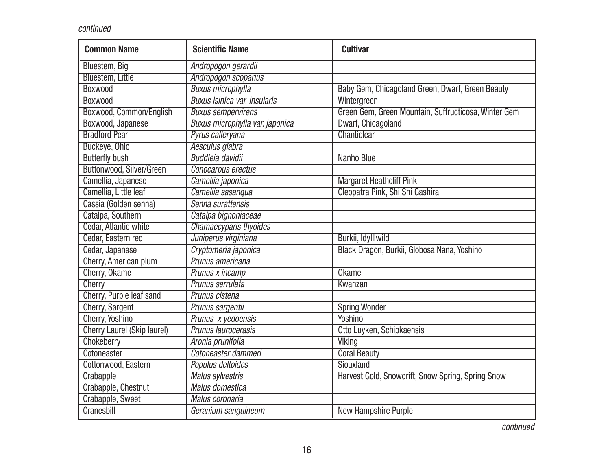| <b>Common Name</b>           | <b>Scientific Name</b>          | <b>Cultivar</b>                                      |
|------------------------------|---------------------------------|------------------------------------------------------|
| Bluestem, Big                | Andropogon gerardii             |                                                      |
| <b>Bluestem, Little</b>      | Andropogon scoparius            |                                                      |
| <b>Boxwood</b>               | <b>Buxus microphylla</b>        | Baby Gem, Chicagoland Green, Dwarf, Green Beauty     |
| <b>Boxwood</b>               | Buxus isinica var. insularis    | Wintergreen                                          |
| Boxwood, Common/English      | <b>Buxus sempervirens</b>       | Green Gem, Green Mountain, Suffructicosa, Winter Gem |
| Boxwood, Japanese            | Buxus microphylla var. japonica | Dwarf, Chicagoland                                   |
| <b>Bradford Pear</b>         | Pyrus calleryana                | Chanticlear                                          |
| Buckeye, Ohio                | Aesculus glabra                 |                                                      |
| <b>Butterfly bush</b>        | <b>Buddleia davidii</b>         | <b>Nanho Blue</b>                                    |
| Buttonwood, Silver/Green     | Conocarpus erectus              |                                                      |
| Camellia, Japanese           | Camellia japonica               | <b>Margaret Heathcliff Pink</b>                      |
| Camellia, Little leaf        | Camellia sasanqua               | Cleopatra Pink, Shi Shi Gashira                      |
| Cassia (Golden senna)        | Senna surattensis               |                                                      |
| Catalpa, Southern            | Catalpa bignoniaceae            |                                                      |
| <b>Cedar, Atlantic white</b> | Chamaecyparis thyoides          |                                                      |
| Cedar, Eastern red           | Juniperus virginiana            | Burkii, Idylllwild                                   |
| Cedar, Japanese              | Cryptomeria japonica            | Black Dragon, Burkii, Globosa Nana, Yoshino          |
| Cherry, American plum        | Prunus americana                |                                                      |
| Cherry, Okame                | Prunus x incamp                 | <b>Okame</b>                                         |
| Cherry                       | Prunus serrulata                | Kwanzan                                              |
| Cherry, Purple leaf sand     | Prunus cistena                  |                                                      |
| Cherry, Sargent              | Prunus sargentii                | <b>Spring Wonder</b>                                 |
| Cherry, Yoshino              | Prunus x yedoensis              | Yoshino                                              |
| Cherry Laurel (Skip laurel)  | Prunus laurocerasis             | Otto Luyken, Schipkaensis                            |
| Chokeberry                   | Aronia prunifolia               | <b>Viking</b>                                        |
| Cotoneaster                  | Cotoneaster dammeri             | <b>Coral Beauty</b>                                  |
| Cottonwood, Eastern          | Populus deltoides               | Siouxland                                            |
| Crabapple                    | <b>Malus sylvestris</b>         | Harvest Gold, Snowdrift, Snow Spring, Spring Snow    |
| Crabapple, Chestnut          | <b>Malus domestica</b>          |                                                      |
| Crabapple, Sweet             | Malus coronaria                 |                                                      |
| Cranesbill                   | Geranium sanguineum             | <b>New Hampshire Purple</b>                          |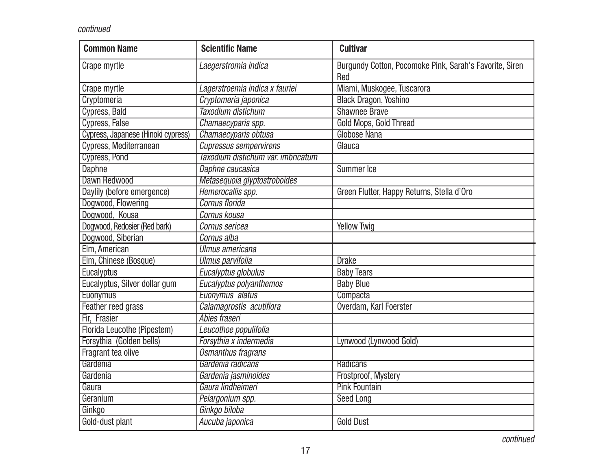| <b>Common Name</b>                 | <b>Scientific Name</b>             | <b>Cultivar</b>                                                |
|------------------------------------|------------------------------------|----------------------------------------------------------------|
| Crape myrtle                       | Laegerstromia indica               | Burgundy Cotton, Pocomoke Pink, Sarah's Favorite, Siren<br>Red |
| Crape myrtle                       | Lagerstroemia indica x fauriei     | Miami, Muskogee, Tuscarora                                     |
| Cryptomeria                        | Cryptomeria japonica               | <b>Black Dragon, Yoshino</b>                                   |
| Cypress, Bald                      | Taxodium distichum                 | <b>Shawnee Brave</b>                                           |
| Cypress, False                     | Chamaecyparis spp.                 | Gold Mops, Gold Thread                                         |
| Cypress, Japanese (Hinoki cypress) | Chamaecyparis obtusa               | <b>Globose Nana</b>                                            |
| Cypress, Mediterranean             | <b>Cupressus sempervirens</b>      | Glauca                                                         |
| <b>Cypress, Pond</b>               | Taxodium distichum var. imbricatum |                                                                |
| Daphne                             | Daphne caucasica                   | Summer Ice                                                     |
| Dawn Redwood                       | Metasequoia glyptostroboides       |                                                                |
| Daylily (before emergence)         | Hemerocallis spp.                  | Green Flutter, Happy Returns, Stella d'Oro                     |
| Dogwood, Flowering                 | Cornus florida                     |                                                                |
| Dogwood, Kousa                     | Cornus kousa                       |                                                                |
| Dogwood, Redosier (Red bark)       | Cornus sericea                     | <b>Yellow Twig</b>                                             |
| Dogwood, Siberian                  | Cornus alba                        |                                                                |
| Elm, American                      | Ulmus americana                    |                                                                |
| Elm, Chinese (Bosque)              | <b>Ulmus parvifolia</b>            | <b>Drake</b>                                                   |
| Eucalyptus                         | Eucalyptus globulus                | <b>Baby Tears</b>                                              |
| Eucalyptus, Silver dollar gum      | Eucalyptus polyanthemos            | <b>Baby Blue</b>                                               |
| <b>Euonymus</b>                    | Euonymus alatus                    | Compacta                                                       |
| Feather reed grass                 | Calamagrostis acutiflora           | Overdam, Karl Foerster                                         |
| Fir, Frasier                       | Abies fraseri                      |                                                                |
| Florida Leucothe (Pipestem)        | Leucothoe populifolia              |                                                                |
| Forsythia (Golden bells)           | Forsythia x indermedia             | Lynwood (Lynwood Gold)                                         |
| Fragrant tea olive                 | Osmanthus fragrans                 |                                                                |
| Gardenia                           | Gardenia radicans                  | Radicans                                                       |
| Gardenia                           | Gardenia jasminoides               | Frostproof, Mystery                                            |
| Gaura                              | Gaura lindheimeri                  | <b>Pink Fountain</b>                                           |
| Geranium                           | Pelargonium spp.                   | <b>Seed Long</b>                                               |
| Ginkgo                             | Ginkgo biloba                      |                                                                |
| Gold-dust plant                    | Aucuba japonica                    | <b>Gold Dust</b>                                               |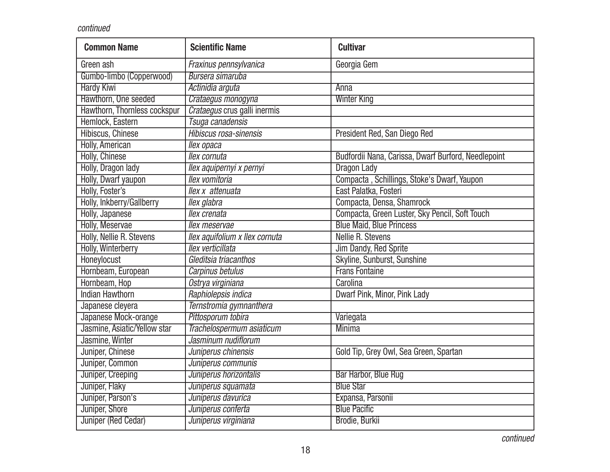| <b>Common Name</b>           | <b>Scientific Name</b>         | <b>Cultivar</b>                                     |
|------------------------------|--------------------------------|-----------------------------------------------------|
| Green ash                    | Fraxinus pennsylvanica         | Georgia Gem                                         |
| Gumbo-limbo (Copperwood)     | Bursera simaruba               |                                                     |
| <b>Hardy Kiwi</b>            | Actinidia arguta               | <b>Anna</b>                                         |
| Hawthorn, One seeded         | Crataegus monogyna             | <b>Winter King</b>                                  |
| Hawthorn, Thornless cockspur | Crataegus crus galli inermis   |                                                     |
| Hemlock, Eastern             | Tsuga canadensis               |                                                     |
| Hibiscus, Chinese            | Hibiscus rosa-sinensis         | President Red, San Diego Red                        |
| <b>Holly, American</b>       | llex opaca                     |                                                     |
| <b>Holly, Chinese</b>        | llex cornuta                   | Budfordii Nana, Carissa, Dwarf Burford, Needlepoint |
| Holly, Dragon lady           | llex aquipernyi x pernyi       | <b>Dragon Lady</b>                                  |
| Holly, Dwarf yaupon          | llex vomitoria                 | Compacta, Schillings, Stoke's Dwarf, Yaupon         |
| Holly, Foster's              | llex x attenuata               | East Palatka, Fosteri                               |
| Holly, Inkberry/Gallberry    | llex glabra                    | Compacta, Densa, Shamrock                           |
| Holly, Japanese              | llex crenata                   | Compacta, Green Luster, Sky Pencil, Soft Touch      |
| <b>Holly, Meservae</b>       | llex meservae                  | <b>Blue Maid, Blue Princess</b>                     |
| Holly, Nellie R. Stevens     | llex aquifolium x llex cornuta | <b>Nellie R. Stevens</b>                            |
| <b>Holly, Winterberry</b>    | llex verticillata              | Jim Dandy, Red Sprite                               |
| Honeylocust                  | Gleditsia triacanthos          | Skyline, Sunburst, Sunshine                         |
| Hornbeam, European           | Carpinus betulus               | <b>Frans Fontaine</b>                               |
| Hornbeam, Hop                | Ostrya virginiana              | Carolina                                            |
| <b>Indian Hawthorn</b>       | Raphiolepsis indica            | Dwarf Pink, Minor, Pink Lady                        |
| Japanese cleyera             | Ternstromia gymnanthera        |                                                     |
| Japanese Mock-orange         | Pittosporum tobira             | Variegata                                           |
| Jasmine, Asiatic/Yellow star | Trachelospermum asiaticum      | <b>Minima</b>                                       |
| Jasmine, Winter              | Jasminum nudiflorum            |                                                     |
| Juniper, Chinese             | Juniperus chinensis            | Gold Tip, Grey Owl, Sea Green, Spartan              |
| Juniper, Common              | Juniperus communis             |                                                     |
| Juniper, Creeping            | Juniperus horizontalis         | Bar Harbor, Blue Rug                                |
| Juniper, Flaky               | Juniperus squamata             | <b>Blue Star</b>                                    |
| Juniper, Parson's            | Juniperus davurica             | Expansa, Parsonii                                   |
| Juniper, Shore               | Juniperus conferta             | <b>Blue Pacific</b>                                 |
| Juniper (Red Cedar)          | Juniperus virginiana           | Brodie, Burkii                                      |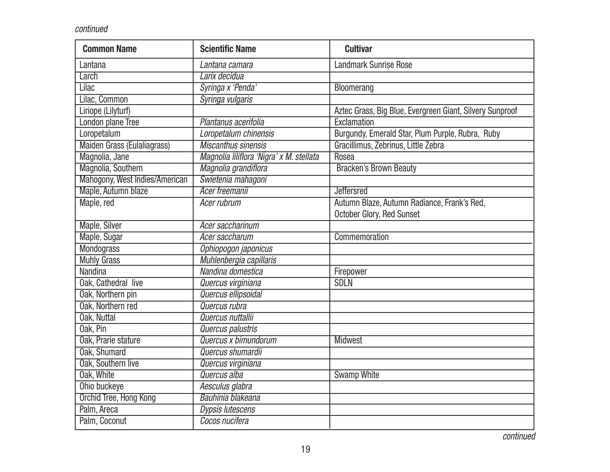| <b>Common Name</b>             | <b>Scientific Name</b>                   | <b>Cultivar</b>                                          |
|--------------------------------|------------------------------------------|----------------------------------------------------------|
| Lantana                        | Lantana camara                           | <b>Landmark Sunrise Rose</b>                             |
| Larch                          | Larix decidua                            |                                                          |
| <b>Lilac</b>                   | Syringa x 'Penda'                        | Bloomerang                                               |
| Lilac, Common                  | Syringa vulgaris                         |                                                          |
| Liriope (Lilyturf)             |                                          | Aztec Grass, Big Blue, Evergreen Giant, Silvery Sunproof |
| <b>London plane Tree</b>       | Plantanus acerifolia                     | Exclamation                                              |
| Loropetalum                    | Loropetalum chinensis                    | Burgundy, Emerald Star, Plum Purple, Rubra, Ruby         |
| Maiden Grass (Eulaliagrass)    | <b>Miscanthus sinensis</b>               | Gracillimus, Zebrinus, Little Zebra                      |
| Magnolia, Jane                 | Magnolia liliflora 'Nigra' x M. stellata | Rosea                                                    |
| Magnolia, Southern             | Magnolia grandiflora                     | <b>Bracken's Brown Beauty</b>                            |
| Mahogony, West Indies/American | Swietenia mahagoni                       |                                                          |
| Maple, Autumn blaze            | Acer freemanii                           | <b>Jeffersred</b>                                        |
| Maple, red                     | Acer rubrum                              | Autumn Blaze, Autumn Radiance, Frank's Red,              |
|                                |                                          | October Glory, Red Sunset                                |
| Maple, Silver                  | Acer saccharinum                         |                                                          |
| Maple, Sugar                   | <b>Acer saccharum</b>                    | Commemoration                                            |
| <b>Mondograss</b>              | Ophiopogon japonicus                     |                                                          |
| <b>Muhly Grass</b>             | Muhlenbergia capillaris                  |                                                          |
| <b>Nandina</b>                 | Nandina domestica                        | Firepower                                                |
| Oak, Cathedral live            | Quercus virginiana                       | <b>SDLN</b>                                              |
| Oak, Northern pin              | Quercus ellipsoidal                      |                                                          |
| Oak, Northern red              | Quercus rubra                            |                                                          |
| Oak, Nuttal                    | Quercus nuttallii                        |                                                          |
| Oak, Pin                       | Quercus palustris                        |                                                          |
| Oak, Prarie stature            | Quercus x bimundorum                     | <b>Midwest</b>                                           |
| Oak, Shumard                   | Quercus shumardii                        |                                                          |
| Oak, Southern live             | Quercus virginiana                       |                                                          |
| Oak, White                     | Quercus alba                             | <b>Swamp White</b>                                       |
| Ohio buckeye                   | Aesculus glabra                          |                                                          |
| Orchid Tree, Hong Kong         | Bauhinia blakeana                        |                                                          |
| Palm, Areca                    | <b>Dypsis lutescens</b>                  |                                                          |
| Palm, Coconut                  | Cocos nucifera                           |                                                          |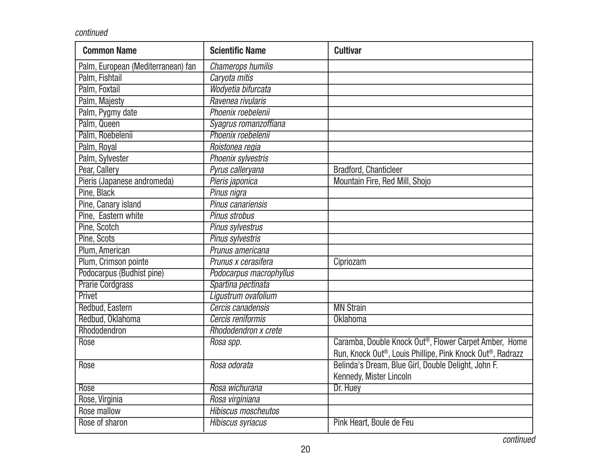| <b>Common Name</b>                 | <b>Scientific Name</b>         | <b>Cultivar</b>                                           |
|------------------------------------|--------------------------------|-----------------------------------------------------------|
| Palm, European (Mediterranean) fan | <b>Chamerops humilis</b>       |                                                           |
| Palm, Fishtail                     | Caryota mitis                  |                                                           |
| Palm, Foxtail                      | Wodyetia bifurcata             |                                                           |
| Palm, Majesty                      | Ravenea rivularis              |                                                           |
| Palm, Pygmy date                   | Phoenix roebelenii             |                                                           |
| Palm, Queen                        | Syagrus romanzoffiana          |                                                           |
| Palm, Roebelenii                   | Phoenix roebelenii             |                                                           |
| Palm, Royal                        | Roistonea regia                |                                                           |
| Palm, Sylvester                    | Phoenix sylvestris             |                                                           |
| Pear, Callery                      | Pyrus calleryana               | Bradford, Chanticleer                                     |
| Pieris (Japanese andromeda)        | Pieris japonica                | Mountain Fire, Red Mill, Shojo                            |
| Pine, Black                        | Pinus nigra                    |                                                           |
| Pine, Canary island                | Pinus canariensis              |                                                           |
| Pine, Eastern white                | Pinus strobus                  |                                                           |
| Pine, Scotch                       | <b>Pinus sylvestrus</b>        |                                                           |
| Pine, Scots                        | <b>Pinus sylvestris</b>        |                                                           |
| Plum, American                     | Prunus americana               |                                                           |
| Plum, Crimson pointe               | Prunus x cerasifera            | Cipriozam                                                 |
| Podocarpus (Budhist pine)          | <b>Podocarpus macrophyllus</b> |                                                           |
| <b>Prarie Cordgrass</b>            | Spartina pectinata             |                                                           |
| Privet                             | Ligustrum ovafolium            |                                                           |
| Redbud, Eastern                    | Cercis canadensis              | <b>MN Strain</b>                                          |
| Redbud, Oklahoma                   | Cercis reniformis              | <b>Oklahoma</b>                                           |
| Rhododendron                       | Rhododendron x crete           |                                                           |
| Rose                               | Rosa spp.                      | Caramba, Double Knock Out®, Flower Carpet Amber, Home     |
|                                    |                                | Run, Knock Out®, Louis Phillipe, Pink Knock Out®, Radrazz |
| Rose                               | Rosa odorata                   | Belinda's Dream, Blue Girl, Double Delight, John F.       |
|                                    |                                | Kennedy, Mister Lincoln                                   |
| Rose                               | Rosa wichurana                 | Dr. Huey                                                  |
| Rose, Virginia                     | Rosa virginiana                |                                                           |
| Rose mallow                        | <b>Hibiscus moscheutos</b>     |                                                           |
| Rose of sharon                     | <b>Hibiscus syriacus</b>       | Pink Heart, Boule de Feu                                  |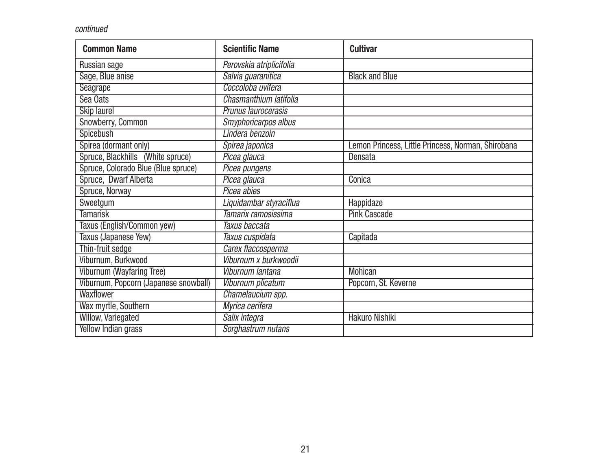| <b>Common Name</b>                    | <b>Scientific Name</b>   | <b>Cultivar</b>                                    |
|---------------------------------------|--------------------------|----------------------------------------------------|
| Russian sage                          | Perovskia atriplicifolia |                                                    |
| Sage, Blue anise                      | Salvia guaranitica       | <b>Black and Blue</b>                              |
| <b>Seagrape</b>                       | Coccoloba uvifera        |                                                    |
| Sea Oats                              | Chasmanthium latifolia   |                                                    |
| <b>Skip laurel</b>                    | Prunus laurocerasis      |                                                    |
| Snowberry, Common                     | Smyphoricarpos albus     |                                                    |
| <b>Spicebush</b>                      | Lindera benzoin          |                                                    |
| Spirea (dormant only)                 | Spirea japonica          | Lemon Princess, Little Princess, Norman, Shirobana |
| Spruce, Blackhills (White spruce)     | Picea glauca             | Densata                                            |
| Spruce, Colorado Blue (Blue spruce)   | Picea pungens            |                                                    |
| Spruce, Dwarf Alberta                 | Picea glauca             | Conica                                             |
| Spruce, Norway                        | Picea abies              |                                                    |
| Sweetgum                              | Liquidambar styraciflua  | Happidaze                                          |
| <b>Tamarisk</b>                       | Tamarix ramosissima      | <b>Pink Cascade</b>                                |
| Taxus (English/Common yew)            | Taxus baccata            |                                                    |
| Taxus (Japanese Yew)                  | Taxus cuspidata          | Capitada                                           |
| Thin-fruit sedge                      | Carex flaccosperma       |                                                    |
| Viburnum, Burkwood                    | Viburnum x burkwoodii    |                                                    |
| Viburnum (Wayfaring Tree)             | Viburnum lantana         | <b>Mohican</b>                                     |
| Viburnum, Popcorn (Japanese snowball) | Viburnum plicatum        | Popcorn, St. Keverne                               |
| Waxflower                             | Chamelaucium spp.        |                                                    |
| Wax myrtle, Southern                  | Myrica cerifera          |                                                    |
| <b>Willow, Variegated</b>             | Salix integra            | <b>Hakuro Nishiki</b>                              |
| <b>Yellow Indian grass</b>            | Sorghastrum nutans       |                                                    |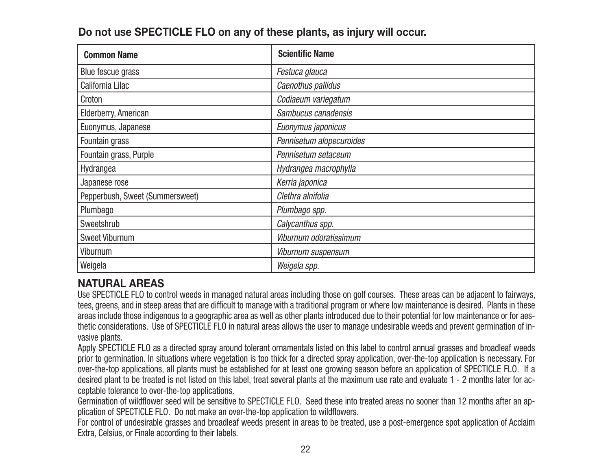| <b>Common Name</b>              | <b>Scientific Name</b>   |
|---------------------------------|--------------------------|
| Blue fescue grass               | Festuca glauca           |
| California Lilac                | Caenothus pallidus       |
| Croton                          | Codiaeum variegatum      |
| Elderberry, American            | Sambucus canadensis      |
| Euonymus, Japanese              | Euonymus japonicus       |
| Fountain grass                  | Pennisetum alopecuroides |
| Fountain grass, Purple          | Pennisetum setaceum      |
| Hydrangea                       | Hydrangea macrophylla    |
| Japanese rose                   | Kerria japonica          |
| Pepperbush, Sweet (Summersweet) | Clethra alnifolia        |
| Plumbago                        | Plumbago spp.            |
| Sweetshrub                      | Calycanthus spp.         |
| <b>Sweet Viburnum</b>           | Viburnum odoratissimum   |
| Viburnum                        | Viburnum suspensum       |
| Weigela                         | Weigela spp.             |

### **NATURAL AREAS**

Use SPECTICLE FLO to control weeds in managed natural areas including those on golf courses. These areas can be adjacent to fairways, tees, greens, and in steep areas that are difficult to manage with a traditional program or where low maintenance is desired. Plants in these areas include those indigenous to a geographic area as well as other plants introduced due to their potential for low maintenance or for aesthetic considerations. Use of SPECTICLE FLO in natural areas allows the user to manage undesirable weeds and prevent germination of invasive plants.

Apply SPECTICLE FLO as a directed spray around tolerant ornamentals listed on this label to control annual grasses and broadleaf weeds prior to germination. In situations where vegetation is too thick for a directed spray application, over-the-top application is necessary. For over-the-top applications, all plants must be established for at least one growing season before an application of SPECTICLE FLO. If a desired plant to be treated is not listed on this label, treat several plants at the maximum use rate and evaluate 1 - 2 months later for acceptable tolerance to over-the-top applications.

Germination of wildflower seed will be sensitive to SPECTICLE FLO. Seed these into treated areas no sooner than 12 months after an application of SPECTICLE FLO. Do not make an over-the-top application to wildflowers.

For control of undesirable grasses and broadleaf weeds present in areas to be treated, use a post-emergence spot application of Acclaim Extra, Celsius, or Finale according to their labels.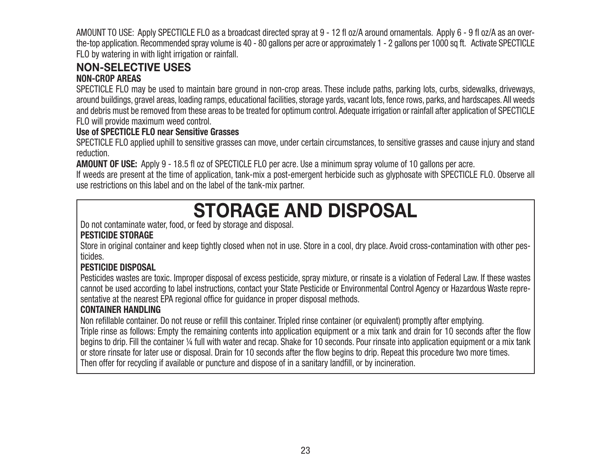AMOUNT TO USE: Apply SPECTICLE FLO as a broadcast directed spray at 9 - 12 fl oz/A around ornamentals. Apply 6 - 9 fl oz/A as an overthe-top application. Recommended spray volume is 40 - 80 gallons per acre or approximately 1 - 2 gallons per 1000 sq ft. Activate SPECTICLE FLO by watering in with light irrigation or rainfall.

### **NON-SELECTIVE USES**

#### **NON-CROP AREAS**

SPECTICLE FLO may be used to maintain bare ground in non-crop areas. These include paths, parking lots, curbs, sidewalks, driveways, around buildings, gravel areas, loading ramps, educational facilities, storage yards, vacant lots, fence rows, parks, and hardscapes. All weeds and debris must be removed from these areas to be treated for optimum control. Adequate irrigation or rainfall after application of SPECTICLE FLO will provide maximum weed control.

#### **Use of SPECTICLE FLO near Sensitive Grasses**

SPECTICLE FLO applied uphill to sensitive grasses can move, under certain circumstances, to sensitive grasses and cause injury and stand reduction.

**AMOUNT OF USE:** Apply 9 - 18.5 fl oz of SPECTICLE FLO per acre. Use a minimum spray volume of 10 gallons per acre.

If weeds are present at the time of application, tank-mix a post-emergent herbicide such as glyphosate with SPECTICLE FLO. Observe all use restrictions on this label and on the label of the tank-mix partner.

# **STORAGE AND DISPOSAL**

Do not contaminate water, food, or feed by storage and disposal.

#### **PESTICIDE STORAGE**

Store in original container and keep tightly closed when not in use. Store in a cool, dry place. Avoid cross-contamination with other pesticides.

#### **PESTICIDE DISPOSAL**

Pesticides wastes are toxic. Improper disposal of excess pesticide, spray mixture, or rinsate is a violation of Federal Law. If these wastes cannot be used according to label instructions, contact your State Pesticide or Environmental Control Agency or Hazardous Waste representative at the nearest EPA regional office for guidance in proper disposal methods.

#### **CONTAINER HANDLING**

Non refillable container. Do not reuse or refill this container. Tripled rinse container (or equivalent) promptly after emptying. Triple rinse as follows: Empty the remaining contents into application equipment or a mix tank and drain for 10 seconds after the flow begins to drip. Fill the container ¼ full with water and recap. Shake for 10 seconds. Pour rinsate into application equipment or a mix tank or store rinsate for later use or disposal. Drain for 10 seconds after the flow begins to drip. Repeat this procedure two more times. Then offer for recycling if available or puncture and dispose of in a sanitary landfill, or by incineration.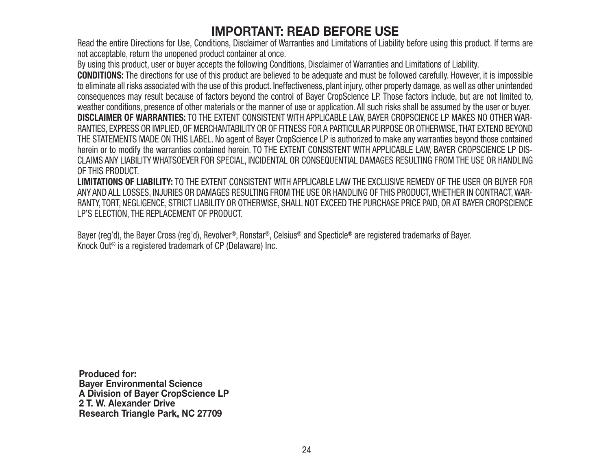### **IMPORTANT: READ BEFORE USE**

Read the entire Directions for Use, Conditions, Disclaimer of Warranties and Limitations of Liability before using this product. If terms are not acceptable, return the unopened product container at once.

By using this product, user or buyer accepts the following Conditions, Disclaimer of Warranties and Limitations of Liability.

**CONDITIONS:** The directions for use of this product are believed to be adequate and must be followed carefully. However, it is impossible to eliminate all risks associated with the use of this product. Ineffectiveness, plant injury, other property damage, as well as other unintended consequences may result because of factors beyond the control of Bayer CropScience LP. Those factors include, but are not limited to, weather conditions, presence of other materials or the manner of use or application. All such risks shall be assumed by the user or buyer. **DISCLAIMER OF WARRANTIES:** TO THE EXTENT CONSISTENT WITH APPLICABLE LAW, BAYER CROPSCIENCE LP MAKES NO OTHER WAR-RANTIES, EXPRESS OR IMPLIED, OF MERCHANTABILITY OR OF FITNESS FOR A PARTICULAR PURPOSE OR OTHERWISE, THAT EXTEND BEYOND THE STATEMENTS MADE ON THIS LABEL. No agent of Bayer CropScience LP is authorized to make any warranties beyond those contained herein or to modify the warranties contained herein. TO THE EXTENT CONSISTENT WITH APPLICABLE LAW, BAYER CROPSCIENCE LP DIS-CLAIMS ANY LIABILITY WHATSOEVER FOR SPECIAL, INCIDENTAL OR CONSEQUENTIAL DAMAGES RESULTING FROM THE USE OR HANDLING OF THIS PRODUCT.

**LIMITATIONS OF LIABILITY:** TO THE EXTENT CONSISTENT WITH APPLICABLE LAW THE EXCLUSIVE REMEDY OF THE USER OR BUYER FORANY AND ALL LOSSES, INJURIES OR DAMAGES RESULTING FROM THE USE OR HANDLING OF THIS PRODUCT, WHETHER IN CONTRACT, WAR-RANTY, TORT, NEGLIGENCE, STRICT LIABILITY OR OTHERWISE, SHALL NOT EXCEED THE PURCHASE PRICE PAID, OR AT BAYER CROPSCIENCE LP'S ELECTION, THE REPLACEMENT OF PRODUCT.

Bayer (reg'd), the Bayer Cross (reg'd), Revolver®, Ronstar®, Celsius® and Specticle® are registered trademarks of Bayer. Knock Out® is a registered trademark of CP (Delaware) Inc.

**Produced for:Bayer Environmental Science A Division of Bayer CropScience LP 2 T. W. Alexander DriveResearch Triangle Park, NC 27709**